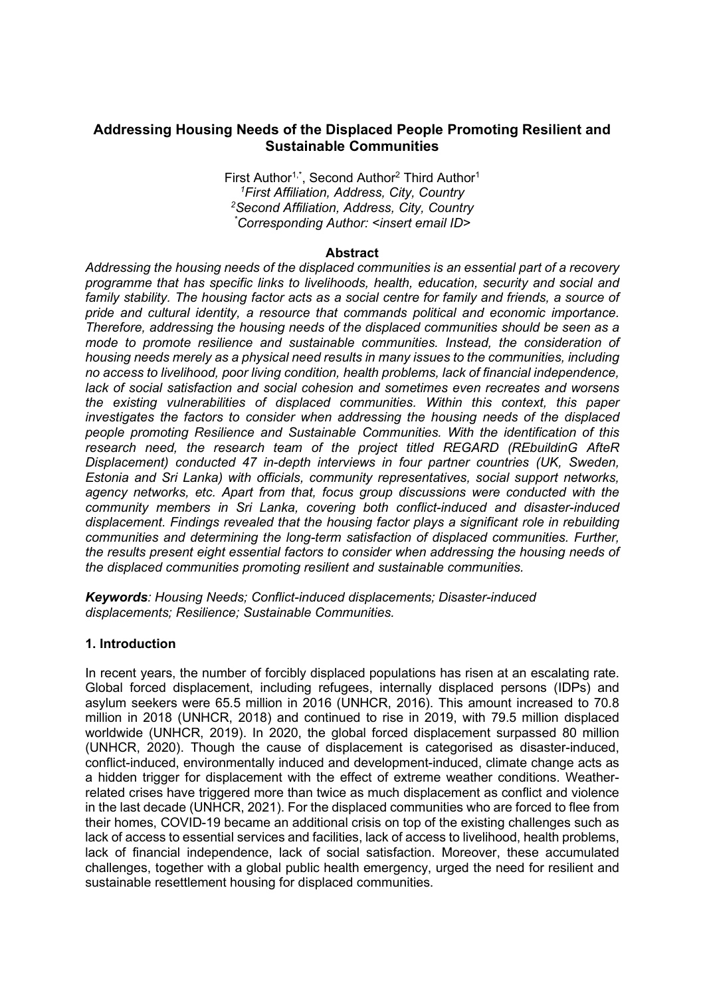# Addressing Housing Needs of the Displaced People Promoting Resilient and Sustainable Communities

First Author<sup>1,\*</sup>, Second Author<sup>2</sup> Third Author<sup>1</sup> <sup>1</sup>First Affiliation, Address, City, Country <sup>2</sup>Second Affiliation, Address, City, Country \*Corresponding Author: <insert email ID>

#### Abstract

Addressing the housing needs of the displaced communities is an essential part of a recovery programme that has specific links to livelihoods, health, education, security and social and family stability. The housing factor acts as a social centre for family and friends, a source of pride and cultural identity, a resource that commands political and economic importance. Therefore, addressing the housing needs of the displaced communities should be seen as a mode to promote resilience and sustainable communities. Instead, the consideration of housing needs merely as a physical need results in many issues to the communities, including no access to livelihood, poor living condition, health problems, lack of financial independence, lack of social satisfaction and social cohesion and sometimes even recreates and worsens the existing vulnerabilities of displaced communities. Within this context, this paper investigates the factors to consider when addressing the housing needs of the displaced people promoting Resilience and Sustainable Communities. With the identification of this research need, the research team of the project titled REGARD (REbuildinG AfteR Displacement) conducted 47 in-depth interviews in four partner countries (UK, Sweden, Estonia and Sri Lanka) with officials, community representatives, social support networks, agency networks, etc. Apart from that, focus group discussions were conducted with the community members in Sri Lanka, covering both conflict-induced and disaster-induced displacement. Findings revealed that the housing factor plays a significant role in rebuilding communities and determining the long-term satisfaction of displaced communities. Further, the results present eight essential factors to consider when addressing the housing needs of the displaced communities promoting resilient and sustainable communities.

Keywords: Housing Needs; Conflict-induced displacements; Disaster-induced displacements; Resilience; Sustainable Communities.

## 1. Introduction

In recent years, the number of forcibly displaced populations has risen at an escalating rate. Global forced displacement, including refugees, internally displaced persons (IDPs) and asylum seekers were 65.5 million in 2016 (UNHCR, 2016). This amount increased to 70.8 million in 2018 (UNHCR, 2018) and continued to rise in 2019, with 79.5 million displaced worldwide (UNHCR, 2019). In 2020, the global forced displacement surpassed 80 million (UNHCR, 2020). Though the cause of displacement is categorised as disaster-induced, conflict-induced, environmentally induced and development-induced, climate change acts as a hidden trigger for displacement with the effect of extreme weather conditions. Weatherrelated crises have triggered more than twice as much displacement as conflict and violence in the last decade (UNHCR, 2021). For the displaced communities who are forced to flee from their homes, COVID-19 became an additional crisis on top of the existing challenges such as lack of access to essential services and facilities, lack of access to livelihood, health problems, lack of financial independence, lack of social satisfaction. Moreover, these accumulated challenges, together with a global public health emergency, urged the need for resilient and sustainable resettlement housing for displaced communities.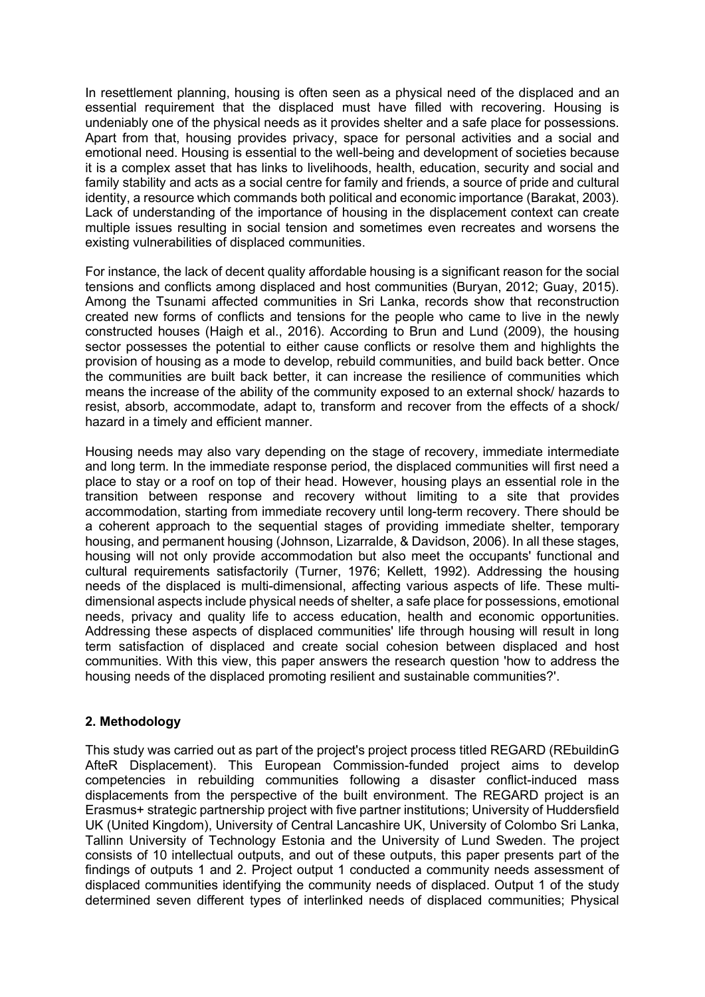In resettlement planning, housing is often seen as a physical need of the displaced and an essential requirement that the displaced must have filled with recovering. Housing is undeniably one of the physical needs as it provides shelter and a safe place for possessions. Apart from that, housing provides privacy, space for personal activities and a social and emotional need. Housing is essential to the well-being and development of societies because it is a complex asset that has links to livelihoods, health, education, security and social and family stability and acts as a social centre for family and friends, a source of pride and cultural identity, a resource which commands both political and economic importance (Barakat, 2003). Lack of understanding of the importance of housing in the displacement context can create multiple issues resulting in social tension and sometimes even recreates and worsens the existing vulnerabilities of displaced communities.

For instance, the lack of decent quality affordable housing is a significant reason for the social tensions and conflicts among displaced and host communities (Buryan, 2012; Guay, 2015). Among the Tsunami affected communities in Sri Lanka, records show that reconstruction created new forms of conflicts and tensions for the people who came to live in the newly constructed houses (Haigh et al., 2016). According to Brun and Lund (2009), the housing sector possesses the potential to either cause conflicts or resolve them and highlights the provision of housing as a mode to develop, rebuild communities, and build back better. Once the communities are built back better, it can increase the resilience of communities which means the increase of the ability of the community exposed to an external shock/ hazards to resist, absorb, accommodate, adapt to, transform and recover from the effects of a shock/ hazard in a timely and efficient manner.

Housing needs may also vary depending on the stage of recovery, immediate intermediate and long term. In the immediate response period, the displaced communities will first need a place to stay or a roof on top of their head. However, housing plays an essential role in the transition between response and recovery without limiting to a site that provides accommodation, starting from immediate recovery until long-term recovery. There should be a coherent approach to the sequential stages of providing immediate shelter, temporary housing, and permanent housing (Johnson, Lizarralde, & Davidson, 2006). In all these stages, housing will not only provide accommodation but also meet the occupants' functional and cultural requirements satisfactorily (Turner, 1976; Kellett, 1992). Addressing the housing needs of the displaced is multi-dimensional, affecting various aspects of life. These multidimensional aspects include physical needs of shelter, a safe place for possessions, emotional needs, privacy and quality life to access education, health and economic opportunities. Addressing these aspects of displaced communities' life through housing will result in long term satisfaction of displaced and create social cohesion between displaced and host communities. With this view, this paper answers the research question 'how to address the housing needs of the displaced promoting resilient and sustainable communities?'.

## 2. Methodology

This study was carried out as part of the project's project process titled REGARD (REbuildinG AfteR Displacement). This European Commission-funded project aims to develop competencies in rebuilding communities following a disaster conflict-induced mass displacements from the perspective of the built environment. The REGARD project is an Erasmus+ strategic partnership project with five partner institutions; University of Huddersfield UK (United Kingdom), University of Central Lancashire UK, University of Colombo Sri Lanka, Tallinn University of Technology Estonia and the University of Lund Sweden. The project consists of 10 intellectual outputs, and out of these outputs, this paper presents part of the findings of outputs 1 and 2. Project output 1 conducted a community needs assessment of displaced communities identifying the community needs of displaced. Output 1 of the study determined seven different types of interlinked needs of displaced communities; Physical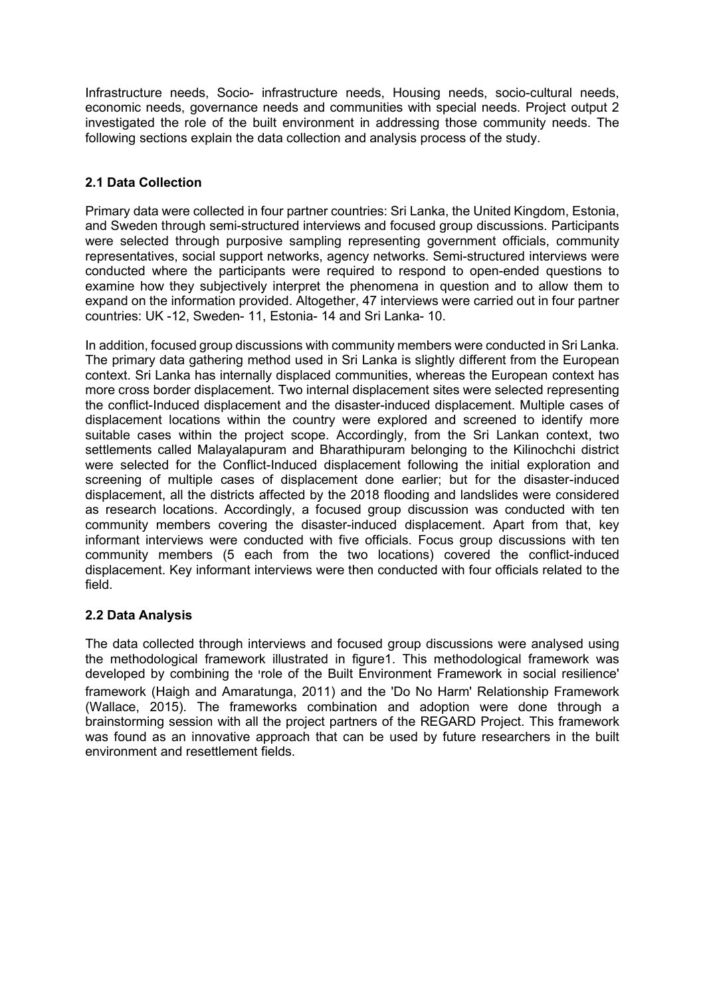Infrastructure needs, Socio- infrastructure needs, Housing needs, socio-cultural needs, economic needs, governance needs and communities with special needs. Project output 2 investigated the role of the built environment in addressing those community needs. The following sections explain the data collection and analysis process of the study.

## 2.1 Data Collection

Primary data were collected in four partner countries: Sri Lanka, the United Kingdom, Estonia, and Sweden through semi-structured interviews and focused group discussions. Participants were selected through purposive sampling representing government officials, community representatives, social support networks, agency networks. Semi-structured interviews were conducted where the participants were required to respond to open-ended questions to examine how they subjectively interpret the phenomena in question and to allow them to expand on the information provided. Altogether, 47 interviews were carried out in four partner countries: UK -12, Sweden- 11, Estonia- 14 and Sri Lanka- 10.

In addition, focused group discussions with community members were conducted in Sri Lanka. The primary data gathering method used in Sri Lanka is slightly different from the European context. Sri Lanka has internally displaced communities, whereas the European context has more cross border displacement. Two internal displacement sites were selected representing the conflict-Induced displacement and the disaster-induced displacement. Multiple cases of displacement locations within the country were explored and screened to identify more suitable cases within the project scope. Accordingly, from the Sri Lankan context, two settlements called Malayalapuram and Bharathipuram belonging to the Kilinochchi district were selected for the Conflict-Induced displacement following the initial exploration and screening of multiple cases of displacement done earlier; but for the disaster-induced displacement, all the districts affected by the 2018 flooding and landslides were considered as research locations. Accordingly, a focused group discussion was conducted with ten community members covering the disaster-induced displacement. Apart from that, key informant interviews were conducted with five officials. Focus group discussions with ten community members (5 each from the two locations) covered the conflict-induced displacement. Key informant interviews were then conducted with four officials related to the field.

# 2.2 Data Analysis

The data collected through interviews and focused group discussions were analysed using the methodological framework illustrated in figure1. This methodological framework was developed by combining the 'role of the Built Environment Framework in social resilience' framework (Haigh and Amaratunga, 2011) and the 'Do No Harm' Relationship Framework (Wallace, 2015). The frameworks combination and adoption were done through a brainstorming session with all the project partners of the REGARD Project. This framework was found as an innovative approach that can be used by future researchers in the built environment and resettlement fields.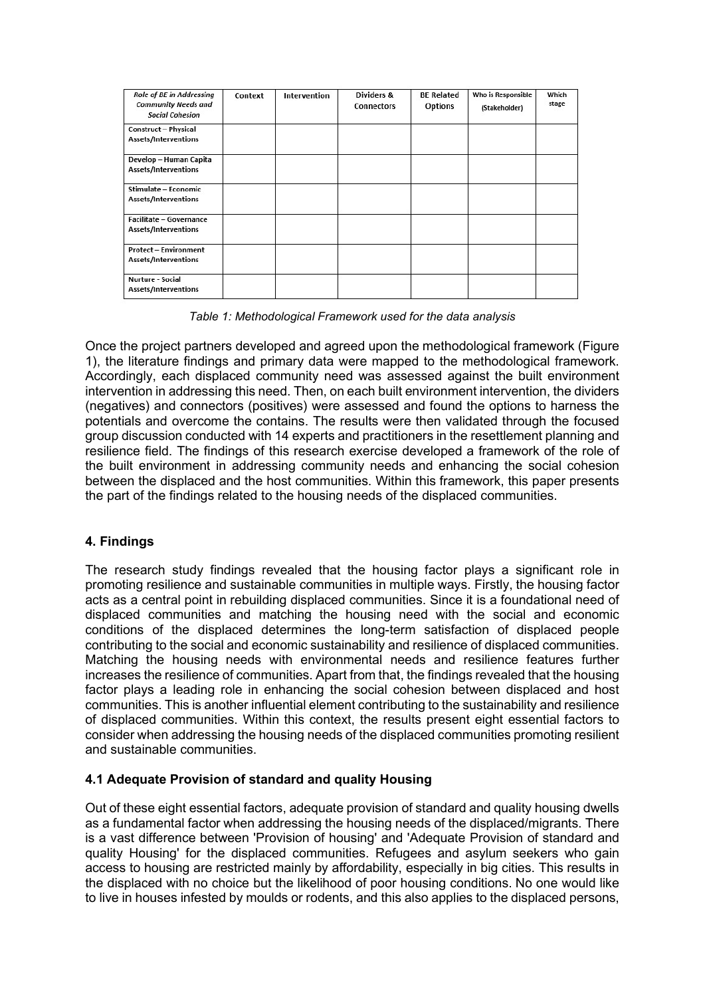| <b>Role of BE in Addressing</b><br><b>Community Needs and</b><br><b>Social Cohesion</b> | Context | <b>Intervention</b> | Dividers &<br>Connectors | <b>BE Related</b><br><b>Options</b> | Who is Responsible<br>(Stakeholder) | Which<br>stage |
|-----------------------------------------------------------------------------------------|---------|---------------------|--------------------------|-------------------------------------|-------------------------------------|----------------|
| <b>Construct - Physical</b><br>Assets/Interventions                                     |         |                     |                          |                                     |                                     |                |
| Develop - Human Capita<br>Assets/Interventions                                          |         |                     |                          |                                     |                                     |                |
| Stimulate - Economic<br>Assets/Interventions                                            |         |                     |                          |                                     |                                     |                |
| Facilitate - Governance<br>Assets/Interventions                                         |         |                     |                          |                                     |                                     |                |
| <b>Protect – Environment</b><br>Assets/Interventions                                    |         |                     |                          |                                     |                                     |                |
| Nurture - Social<br>Assets/Interventions                                                |         |                     |                          |                                     |                                     |                |

Table 1: Methodological Framework used for the data analysis

Once the project partners developed and agreed upon the methodological framework (Figure 1), the literature findings and primary data were mapped to the methodological framework. Accordingly, each displaced community need was assessed against the built environment intervention in addressing this need. Then, on each built environment intervention, the dividers (negatives) and connectors (positives) were assessed and found the options to harness the potentials and overcome the contains. The results were then validated through the focused group discussion conducted with 14 experts and practitioners in the resettlement planning and resilience field. The findings of this research exercise developed a framework of the role of the built environment in addressing community needs and enhancing the social cohesion between the displaced and the host communities. Within this framework, this paper presents the part of the findings related to the housing needs of the displaced communities.

# 4. Findings

The research study findings revealed that the housing factor plays a significant role in promoting resilience and sustainable communities in multiple ways. Firstly, the housing factor acts as a central point in rebuilding displaced communities. Since it is a foundational need of displaced communities and matching the housing need with the social and economic conditions of the displaced determines the long-term satisfaction of displaced people contributing to the social and economic sustainability and resilience of displaced communities. Matching the housing needs with environmental needs and resilience features further increases the resilience of communities. Apart from that, the findings revealed that the housing factor plays a leading role in enhancing the social cohesion between displaced and host communities. This is another influential element contributing to the sustainability and resilience of displaced communities. Within this context, the results present eight essential factors to consider when addressing the housing needs of the displaced communities promoting resilient and sustainable communities.

# 4.1 Adequate Provision of standard and quality Housing

Out of these eight essential factors, adequate provision of standard and quality housing dwells as a fundamental factor when addressing the housing needs of the displaced/migrants. There is a vast difference between 'Provision of housing' and 'Adequate Provision of standard and quality Housing' for the displaced communities. Refugees and asylum seekers who gain access to housing are restricted mainly by affordability, especially in big cities. This results in the displaced with no choice but the likelihood of poor housing conditions. No one would like to live in houses infested by moulds or rodents, and this also applies to the displaced persons,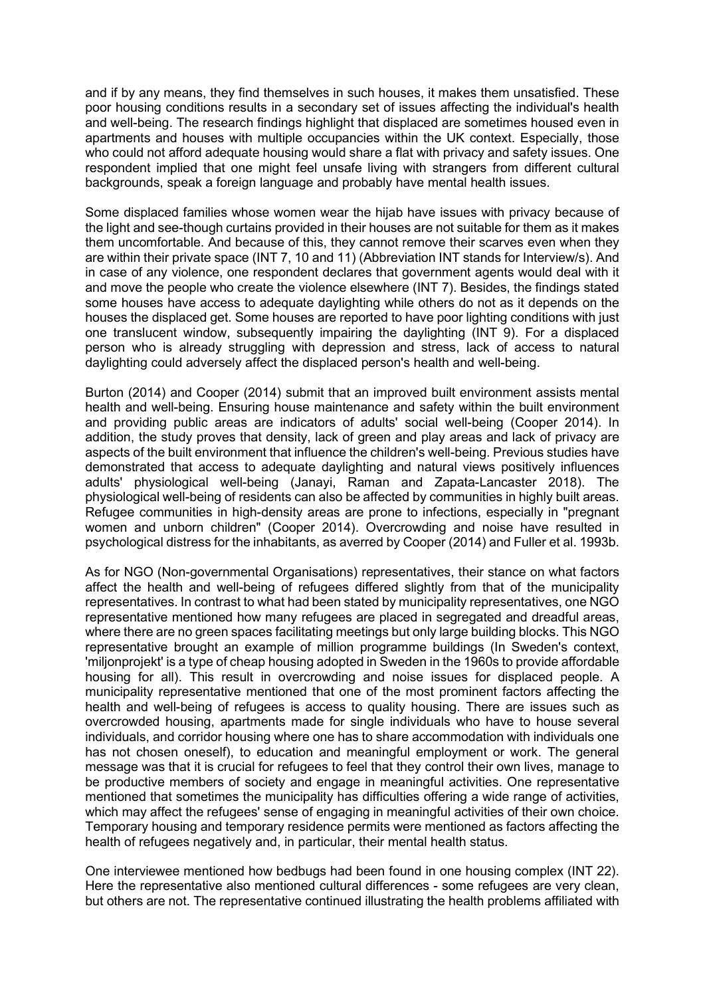and if by any means, they find themselves in such houses, it makes them unsatisfied. These poor housing conditions results in a secondary set of issues affecting the individual's health and well-being. The research findings highlight that displaced are sometimes housed even in apartments and houses with multiple occupancies within the UK context. Especially, those who could not afford adequate housing would share a flat with privacy and safety issues. One respondent implied that one might feel unsafe living with strangers from different cultural backgrounds, speak a foreign language and probably have mental health issues.

Some displaced families whose women wear the hijab have issues with privacy because of the light and see-though curtains provided in their houses are not suitable for them as it makes them uncomfortable. And because of this, they cannot remove their scarves even when they are within their private space (INT 7, 10 and 11) (Abbreviation INT stands for Interview/s). And in case of any violence, one respondent declares that government agents would deal with it and move the people who create the violence elsewhere (INT 7). Besides, the findings stated some houses have access to adequate daylighting while others do not as it depends on the houses the displaced get. Some houses are reported to have poor lighting conditions with just one translucent window, subsequently impairing the daylighting (INT 9). For a displaced person who is already struggling with depression and stress, lack of access to natural daylighting could adversely affect the displaced person's health and well-being.

Burton (2014) and Cooper (2014) submit that an improved built environment assists mental health and well-being. Ensuring house maintenance and safety within the built environment and providing public areas are indicators of adults' social well-being (Cooper 2014). In addition, the study proves that density, lack of green and play areas and lack of privacy are aspects of the built environment that influence the children's well-being. Previous studies have demonstrated that access to adequate daylighting and natural views positively influences adults' physiological well-being (Janayi, Raman and Zapata-Lancaster 2018). The physiological well-being of residents can also be affected by communities in highly built areas. Refugee communities in high-density areas are prone to infections, especially in "pregnant women and unborn children" (Cooper 2014). Overcrowding and noise have resulted in psychological distress for the inhabitants, as averred by Cooper (2014) and Fuller et al. 1993b.

As for NGO (Non-governmental Organisations) representatives, their stance on what factors affect the health and well-being of refugees differed slightly from that of the municipality representatives. In contrast to what had been stated by municipality representatives, one NGO representative mentioned how many refugees are placed in segregated and dreadful areas, where there are no green spaces facilitating meetings but only large building blocks. This NGO representative brought an example of million programme buildings (In Sweden's context, 'miljonprojekt' is a type of cheap housing adopted in Sweden in the 1960s to provide affordable housing for all). This result in overcrowding and noise issues for displaced people. A municipality representative mentioned that one of the most prominent factors affecting the health and well-being of refugees is access to quality housing. There are issues such as overcrowded housing, apartments made for single individuals who have to house several individuals, and corridor housing where one has to share accommodation with individuals one has not chosen oneself), to education and meaningful employment or work. The general message was that it is crucial for refugees to feel that they control their own lives, manage to be productive members of society and engage in meaningful activities. One representative mentioned that sometimes the municipality has difficulties offering a wide range of activities, which may affect the refugees' sense of engaging in meaningful activities of their own choice. Temporary housing and temporary residence permits were mentioned as factors affecting the health of refugees negatively and, in particular, their mental health status.

One interviewee mentioned how bedbugs had been found in one housing complex (INT 22). Here the representative also mentioned cultural differences - some refugees are very clean, but others are not. The representative continued illustrating the health problems affiliated with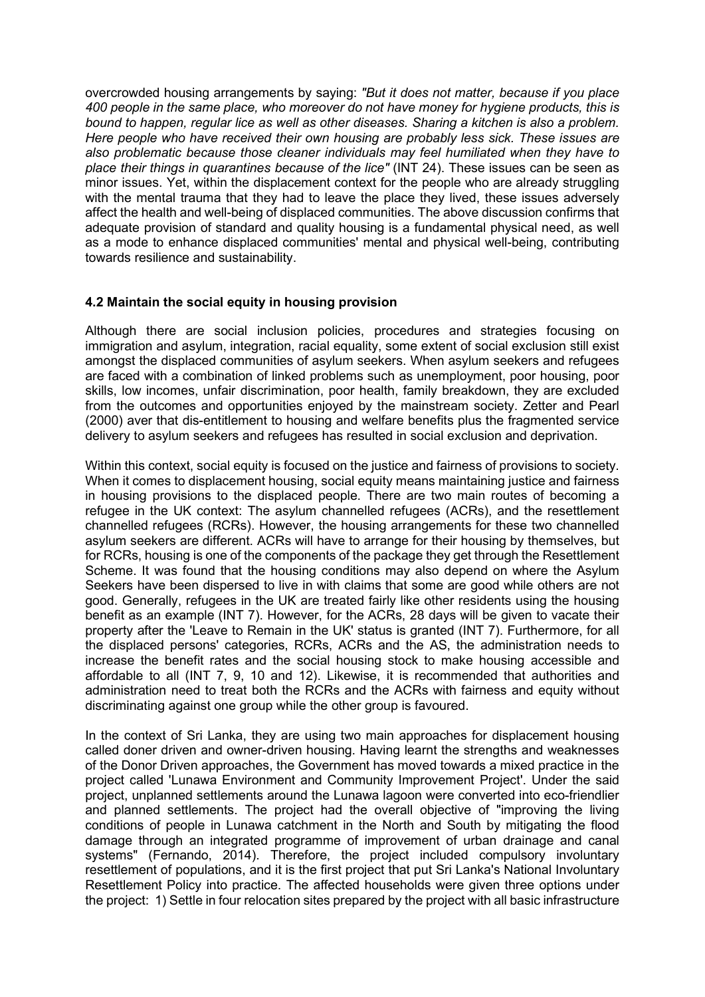overcrowded housing arrangements by saying: "But it does not matter, because if you place 400 people in the same place, who moreover do not have money for hygiene products, this is bound to happen, regular lice as well as other diseases. Sharing a kitchen is also a problem. Here people who have received their own housing are probably less sick. These issues are also problematic because those cleaner individuals may feel humiliated when they have to place their things in quarantines because of the lice" (INT 24). These issues can be seen as minor issues. Yet, within the displacement context for the people who are already struggling with the mental trauma that they had to leave the place they lived, these issues adversely affect the health and well-being of displaced communities. The above discussion confirms that adequate provision of standard and quality housing is a fundamental physical need, as well as a mode to enhance displaced communities' mental and physical well-being, contributing towards resilience and sustainability.

## 4.2 Maintain the social equity in housing provision

Although there are social inclusion policies, procedures and strategies focusing on immigration and asylum, integration, racial equality, some extent of social exclusion still exist amongst the displaced communities of asylum seekers. When asylum seekers and refugees are faced with a combination of linked problems such as unemployment, poor housing, poor skills, low incomes, unfair discrimination, poor health, family breakdown, they are excluded from the outcomes and opportunities enjoyed by the mainstream society. Zetter and Pearl (2000) aver that dis-entitlement to housing and welfare benefits plus the fragmented service delivery to asylum seekers and refugees has resulted in social exclusion and deprivation.

Within this context, social equity is focused on the justice and fairness of provisions to society. When it comes to displacement housing, social equity means maintaining justice and fairness in housing provisions to the displaced people. There are two main routes of becoming a refugee in the UK context: The asylum channelled refugees (ACRs), and the resettlement channelled refugees (RCRs). However, the housing arrangements for these two channelled asylum seekers are different. ACRs will have to arrange for their housing by themselves, but for RCRs, housing is one of the components of the package they get through the Resettlement Scheme. It was found that the housing conditions may also depend on where the Asylum Seekers have been dispersed to live in with claims that some are good while others are not good. Generally, refugees in the UK are treated fairly like other residents using the housing benefit as an example (INT 7). However, for the ACRs, 28 days will be given to vacate their property after the 'Leave to Remain in the UK' status is granted (INT 7). Furthermore, for all the displaced persons' categories, RCRs, ACRs and the AS, the administration needs to increase the benefit rates and the social housing stock to make housing accessible and affordable to all (INT 7, 9, 10 and 12). Likewise, it is recommended that authorities and administration need to treat both the RCRs and the ACRs with fairness and equity without discriminating against one group while the other group is favoured.

In the context of Sri Lanka, they are using two main approaches for displacement housing called doner driven and owner-driven housing. Having learnt the strengths and weaknesses of the Donor Driven approaches, the Government has moved towards a mixed practice in the project called 'Lunawa Environment and Community Improvement Project'. Under the said project, unplanned settlements around the Lunawa lagoon were converted into eco-friendlier and planned settlements. The project had the overall objective of "improving the living conditions of people in Lunawa catchment in the North and South by mitigating the flood damage through an integrated programme of improvement of urban drainage and canal systems" (Fernando, 2014). Therefore, the project included compulsory involuntary resettlement of populations, and it is the first project that put Sri Lanka's National Involuntary Resettlement Policy into practice. The affected households were given three options under the project: 1) Settle in four relocation sites prepared by the project with all basic infrastructure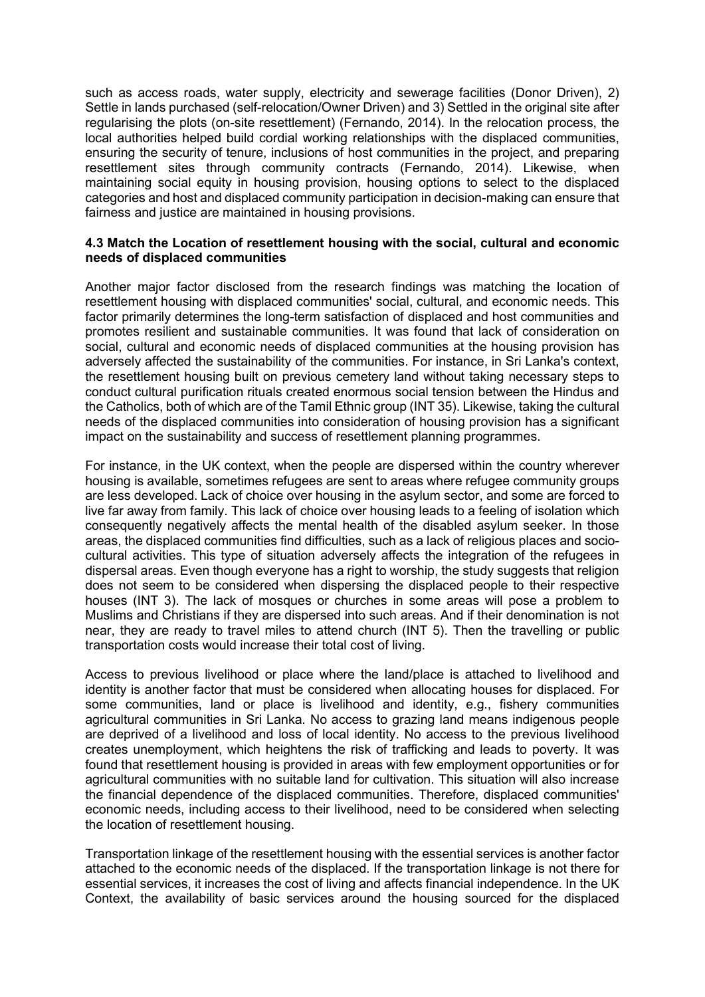such as access roads, water supply, electricity and sewerage facilities (Donor Driven), 2) Settle in lands purchased (self-relocation/Owner Driven) and 3) Settled in the original site after regularising the plots (on-site resettlement) (Fernando, 2014). In the relocation process, the local authorities helped build cordial working relationships with the displaced communities, ensuring the security of tenure, inclusions of host communities in the project, and preparing resettlement sites through community contracts (Fernando, 2014). Likewise, when maintaining social equity in housing provision, housing options to select to the displaced categories and host and displaced community participation in decision-making can ensure that fairness and justice are maintained in housing provisions.

#### 4.3 Match the Location of resettlement housing with the social, cultural and economic needs of displaced communities

Another major factor disclosed from the research findings was matching the location of resettlement housing with displaced communities' social, cultural, and economic needs. This factor primarily determines the long-term satisfaction of displaced and host communities and promotes resilient and sustainable communities. It was found that lack of consideration on social, cultural and economic needs of displaced communities at the housing provision has adversely affected the sustainability of the communities. For instance, in Sri Lanka's context, the resettlement housing built on previous cemetery land without taking necessary steps to conduct cultural purification rituals created enormous social tension between the Hindus and the Catholics, both of which are of the Tamil Ethnic group (INT 35). Likewise, taking the cultural needs of the displaced communities into consideration of housing provision has a significant impact on the sustainability and success of resettlement planning programmes.

For instance, in the UK context, when the people are dispersed within the country wherever housing is available, sometimes refugees are sent to areas where refugee community groups are less developed. Lack of choice over housing in the asylum sector, and some are forced to live far away from family. This lack of choice over housing leads to a feeling of isolation which consequently negatively affects the mental health of the disabled asylum seeker. In those areas, the displaced communities find difficulties, such as a lack of religious places and sociocultural activities. This type of situation adversely affects the integration of the refugees in dispersal areas. Even though everyone has a right to worship, the study suggests that religion does not seem to be considered when dispersing the displaced people to their respective houses (INT 3). The lack of mosques or churches in some areas will pose a problem to Muslims and Christians if they are dispersed into such areas. And if their denomination is not near, they are ready to travel miles to attend church (INT 5). Then the travelling or public transportation costs would increase their total cost of living.

Access to previous livelihood or place where the land/place is attached to livelihood and identity is another factor that must be considered when allocating houses for displaced. For some communities, land or place is livelihood and identity, e.g., fishery communities agricultural communities in Sri Lanka. No access to grazing land means indigenous people are deprived of a livelihood and loss of local identity. No access to the previous livelihood creates unemployment, which heightens the risk of trafficking and leads to poverty. It was found that resettlement housing is provided in areas with few employment opportunities or for agricultural communities with no suitable land for cultivation. This situation will also increase the financial dependence of the displaced communities. Therefore, displaced communities' economic needs, including access to their livelihood, need to be considered when selecting the location of resettlement housing.

Transportation linkage of the resettlement housing with the essential services is another factor attached to the economic needs of the displaced. If the transportation linkage is not there for essential services, it increases the cost of living and affects financial independence. In the UK Context, the availability of basic services around the housing sourced for the displaced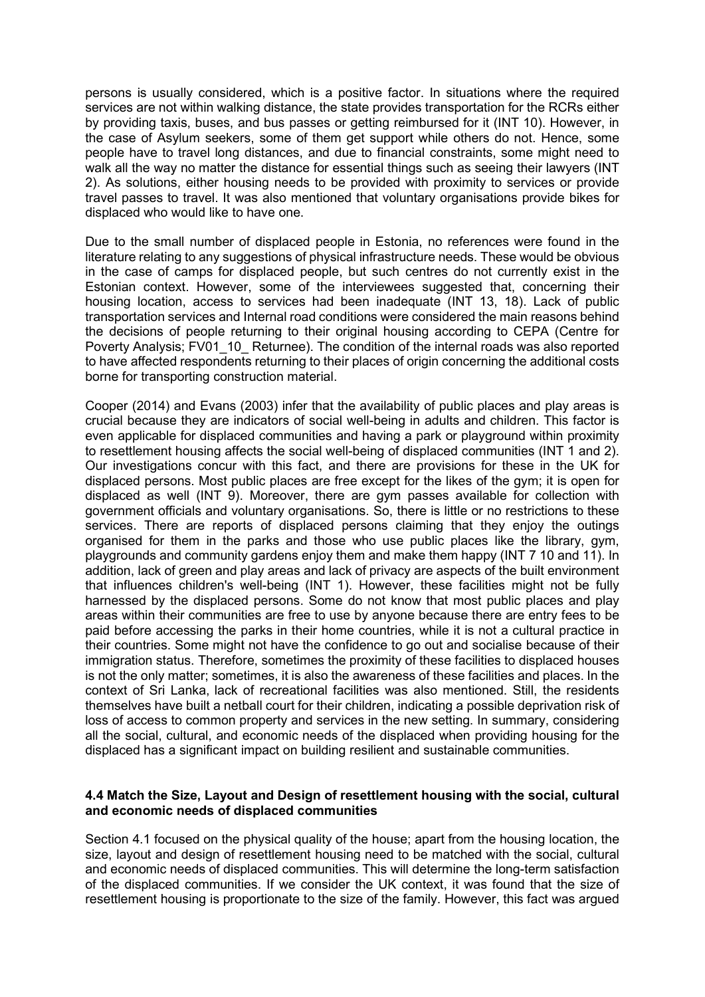persons is usually considered, which is a positive factor. In situations where the required services are not within walking distance, the state provides transportation for the RCRs either by providing taxis, buses, and bus passes or getting reimbursed for it (INT 10). However, in the case of Asylum seekers, some of them get support while others do not. Hence, some people have to travel long distances, and due to financial constraints, some might need to walk all the way no matter the distance for essential things such as seeing their lawyers (INT 2). As solutions, either housing needs to be provided with proximity to services or provide travel passes to travel. It was also mentioned that voluntary organisations provide bikes for displaced who would like to have one.

Due to the small number of displaced people in Estonia, no references were found in the literature relating to any suggestions of physical infrastructure needs. These would be obvious in the case of camps for displaced people, but such centres do not currently exist in the Estonian context. However, some of the interviewees suggested that, concerning their housing location, access to services had been inadequate (INT 13, 18). Lack of public transportation services and Internal road conditions were considered the main reasons behind the decisions of people returning to their original housing according to CEPA (Centre for Poverty Analysis; FV01\_10\_ Returnee). The condition of the internal roads was also reported to have affected respondents returning to their places of origin concerning the additional costs borne for transporting construction material.

Cooper (2014) and Evans (2003) infer that the availability of public places and play areas is crucial because they are indicators of social well-being in adults and children. This factor is even applicable for displaced communities and having a park or playground within proximity to resettlement housing affects the social well-being of displaced communities (INT 1 and 2). Our investigations concur with this fact, and there are provisions for these in the UK for displaced persons. Most public places are free except for the likes of the gym; it is open for displaced as well (INT 9). Moreover, there are gym passes available for collection with government officials and voluntary organisations. So, there is little or no restrictions to these services. There are reports of displaced persons claiming that they enjoy the outings organised for them in the parks and those who use public places like the library, gym, playgrounds and community gardens enjoy them and make them happy (INT 7 10 and 11). In addition, lack of green and play areas and lack of privacy are aspects of the built environment that influences children's well-being (INT 1). However, these facilities might not be fully harnessed by the displaced persons. Some do not know that most public places and play areas within their communities are free to use by anyone because there are entry fees to be paid before accessing the parks in their home countries, while it is not a cultural practice in their countries. Some might not have the confidence to go out and socialise because of their immigration status. Therefore, sometimes the proximity of these facilities to displaced houses is not the only matter; sometimes, it is also the awareness of these facilities and places. In the context of Sri Lanka, lack of recreational facilities was also mentioned. Still, the residents themselves have built a netball court for their children, indicating a possible deprivation risk of loss of access to common property and services in the new setting. In summary, considering all the social, cultural, and economic needs of the displaced when providing housing for the displaced has a significant impact on building resilient and sustainable communities.

#### 4.4 Match the Size, Layout and Design of resettlement housing with the social, cultural and economic needs of displaced communities

Section 4.1 focused on the physical quality of the house; apart from the housing location, the size, layout and design of resettlement housing need to be matched with the social, cultural and economic needs of displaced communities. This will determine the long-term satisfaction of the displaced communities. If we consider the UK context, it was found that the size of resettlement housing is proportionate to the size of the family. However, this fact was argued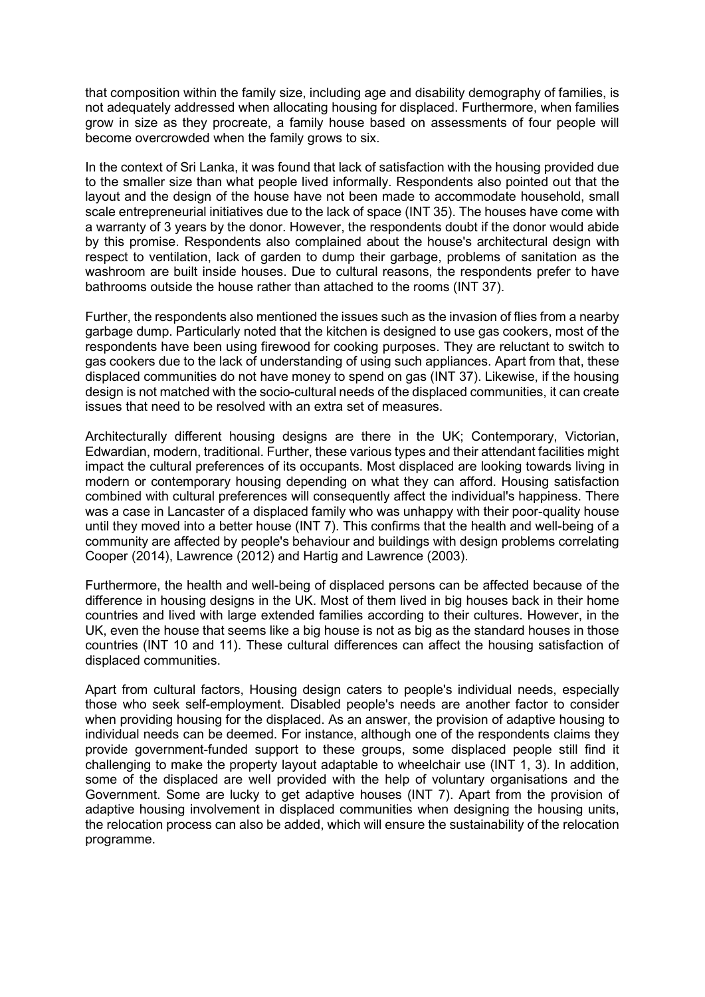that composition within the family size, including age and disability demography of families, is not adequately addressed when allocating housing for displaced. Furthermore, when families grow in size as they procreate, a family house based on assessments of four people will become overcrowded when the family grows to six.

In the context of Sri Lanka, it was found that lack of satisfaction with the housing provided due to the smaller size than what people lived informally. Respondents also pointed out that the layout and the design of the house have not been made to accommodate household, small scale entrepreneurial initiatives due to the lack of space (INT 35). The houses have come with a warranty of 3 years by the donor. However, the respondents doubt if the donor would abide by this promise. Respondents also complained about the house's architectural design with respect to ventilation, lack of garden to dump their garbage, problems of sanitation as the washroom are built inside houses. Due to cultural reasons, the respondents prefer to have bathrooms outside the house rather than attached to the rooms (INT 37).

Further, the respondents also mentioned the issues such as the invasion of flies from a nearby garbage dump. Particularly noted that the kitchen is designed to use gas cookers, most of the respondents have been using firewood for cooking purposes. They are reluctant to switch to gas cookers due to the lack of understanding of using such appliances. Apart from that, these displaced communities do not have money to spend on gas (INT 37). Likewise, if the housing design is not matched with the socio-cultural needs of the displaced communities, it can create issues that need to be resolved with an extra set of measures.

Architecturally different housing designs are there in the UK; Contemporary, Victorian, Edwardian, modern, traditional. Further, these various types and their attendant facilities might impact the cultural preferences of its occupants. Most displaced are looking towards living in modern or contemporary housing depending on what they can afford. Housing satisfaction combined with cultural preferences will consequently affect the individual's happiness. There was a case in Lancaster of a displaced family who was unhappy with their poor-quality house until they moved into a better house (INT 7). This confirms that the health and well-being of a community are affected by people's behaviour and buildings with design problems correlating Cooper (2014), Lawrence (2012) and Hartig and Lawrence (2003).

Furthermore, the health and well-being of displaced persons can be affected because of the difference in housing designs in the UK. Most of them lived in big houses back in their home countries and lived with large extended families according to their cultures. However, in the UK, even the house that seems like a big house is not as big as the standard houses in those countries (INT 10 and 11). These cultural differences can affect the housing satisfaction of displaced communities.

Apart from cultural factors, Housing design caters to people's individual needs, especially those who seek self-employment. Disabled people's needs are another factor to consider when providing housing for the displaced. As an answer, the provision of adaptive housing to individual needs can be deemed. For instance, although one of the respondents claims they provide government-funded support to these groups, some displaced people still find it challenging to make the property layout adaptable to wheelchair use (INT 1, 3). In addition, some of the displaced are well provided with the help of voluntary organisations and the Government. Some are lucky to get adaptive houses (INT 7). Apart from the provision of adaptive housing involvement in displaced communities when designing the housing units, the relocation process can also be added, which will ensure the sustainability of the relocation programme.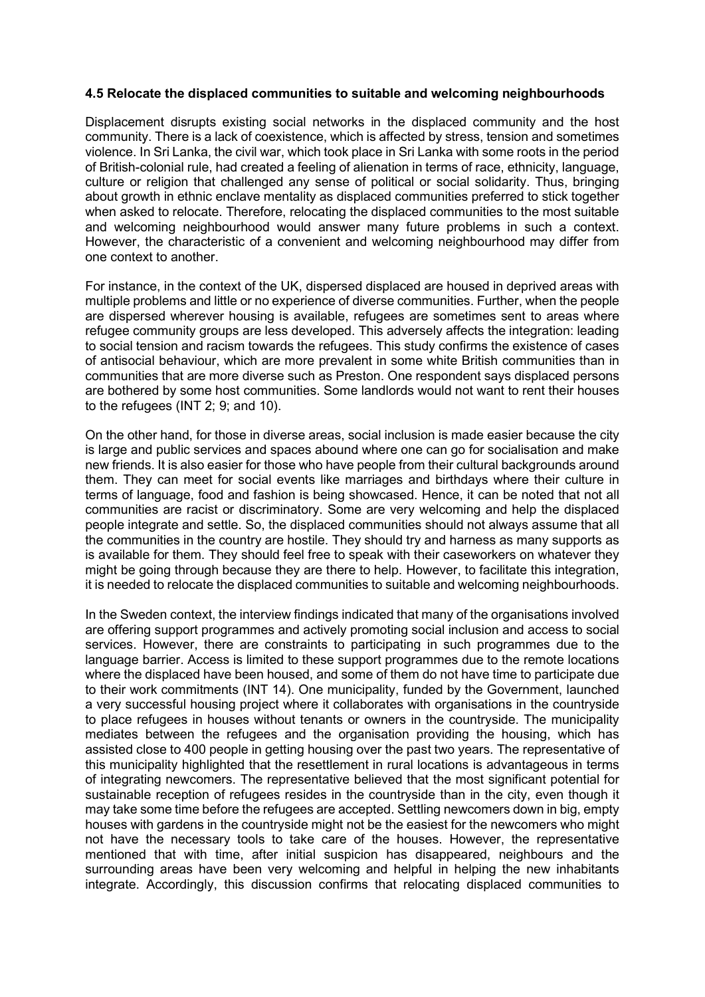#### 4.5 Relocate the displaced communities to suitable and welcoming neighbourhoods

Displacement disrupts existing social networks in the displaced community and the host community. There is a lack of coexistence, which is affected by stress, tension and sometimes violence. In Sri Lanka, the civil war, which took place in Sri Lanka with some roots in the period of British-colonial rule, had created a feeling of alienation in terms of race, ethnicity, language, culture or religion that challenged any sense of political or social solidarity. Thus, bringing about growth in ethnic enclave mentality as displaced communities preferred to stick together when asked to relocate. Therefore, relocating the displaced communities to the most suitable and welcoming neighbourhood would answer many future problems in such a context. However, the characteristic of a convenient and welcoming neighbourhood may differ from one context to another.

For instance, in the context of the UK, dispersed displaced are housed in deprived areas with multiple problems and little or no experience of diverse communities. Further, when the people are dispersed wherever housing is available, refugees are sometimes sent to areas where refugee community groups are less developed. This adversely affects the integration: leading to social tension and racism towards the refugees. This study confirms the existence of cases of antisocial behaviour, which are more prevalent in some white British communities than in communities that are more diverse such as Preston. One respondent says displaced persons are bothered by some host communities. Some landlords would not want to rent their houses to the refugees (INT 2; 9; and 10).

On the other hand, for those in diverse areas, social inclusion is made easier because the city is large and public services and spaces abound where one can go for socialisation and make new friends. It is also easier for those who have people from their cultural backgrounds around them. They can meet for social events like marriages and birthdays where their culture in terms of language, food and fashion is being showcased. Hence, it can be noted that not all communities are racist or discriminatory. Some are very welcoming and help the displaced people integrate and settle. So, the displaced communities should not always assume that all the communities in the country are hostile. They should try and harness as many supports as is available for them. They should feel free to speak with their caseworkers on whatever they might be going through because they are there to help. However, to facilitate this integration, it is needed to relocate the displaced communities to suitable and welcoming neighbourhoods.

In the Sweden context, the interview findings indicated that many of the organisations involved are offering support programmes and actively promoting social inclusion and access to social services. However, there are constraints to participating in such programmes due to the language barrier. Access is limited to these support programmes due to the remote locations where the displaced have been housed, and some of them do not have time to participate due to their work commitments (INT 14). One municipality, funded by the Government, launched a very successful housing project where it collaborates with organisations in the countryside to place refugees in houses without tenants or owners in the countryside. The municipality mediates between the refugees and the organisation providing the housing, which has assisted close to 400 people in getting housing over the past two years. The representative of this municipality highlighted that the resettlement in rural locations is advantageous in terms of integrating newcomers. The representative believed that the most significant potential for sustainable reception of refugees resides in the countryside than in the city, even though it may take some time before the refugees are accepted. Settling newcomers down in big, empty houses with gardens in the countryside might not be the easiest for the newcomers who might not have the necessary tools to take care of the houses. However, the representative mentioned that with time, after initial suspicion has disappeared, neighbours and the surrounding areas have been very welcoming and helpful in helping the new inhabitants integrate. Accordingly, this discussion confirms that relocating displaced communities to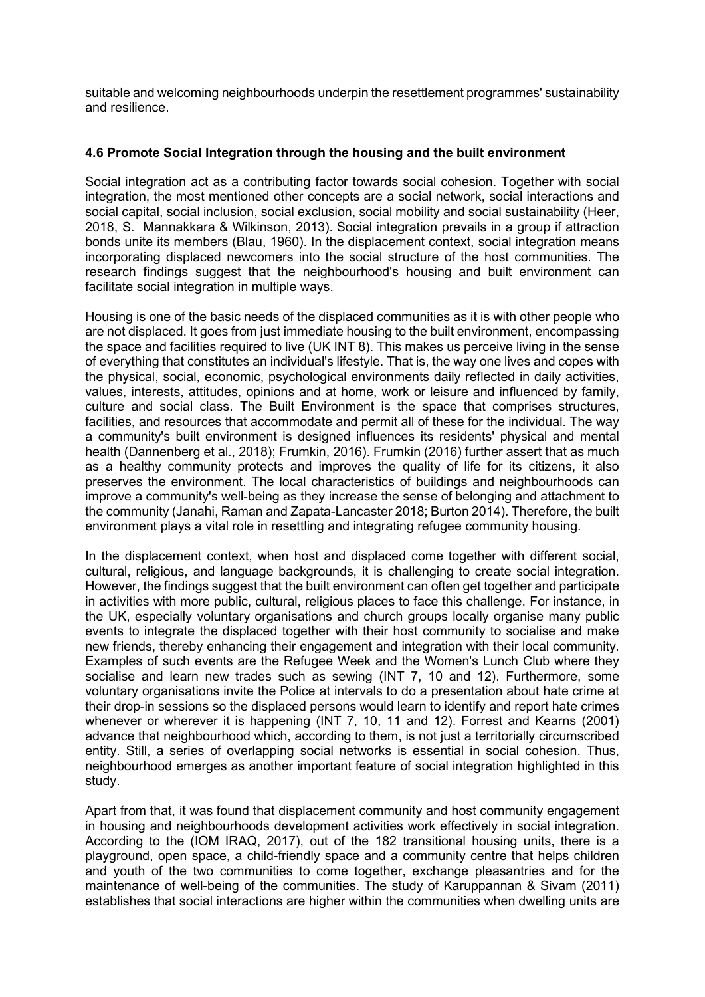suitable and welcoming neighbourhoods underpin the resettlement programmes' sustainability and resilience.

## 4.6 Promote Social Integration through the housing and the built environment

Social integration act as a contributing factor towards social cohesion. Together with social integration, the most mentioned other concepts are a social network, social interactions and social capital, social inclusion, social exclusion, social mobility and social sustainability (Heer, 2018, S. Mannakkara & Wilkinson, 2013). Social integration prevails in a group if attraction bonds unite its members (Blau, 1960). In the displacement context, social integration means incorporating displaced newcomers into the social structure of the host communities. The research findings suggest that the neighbourhood's housing and built environment can facilitate social integration in multiple ways.

Housing is one of the basic needs of the displaced communities as it is with other people who are not displaced. It goes from just immediate housing to the built environment, encompassing the space and facilities required to live (UK INT 8). This makes us perceive living in the sense of everything that constitutes an individual's lifestyle. That is, the way one lives and copes with the physical, social, economic, psychological environments daily reflected in daily activities, values, interests, attitudes, opinions and at home, work or leisure and influenced by family, culture and social class. The Built Environment is the space that comprises structures, facilities, and resources that accommodate and permit all of these for the individual. The way a community's built environment is designed influences its residents' physical and mental health (Dannenberg et al., 2018); Frumkin, 2016). Frumkin (2016) further assert that as much as a healthy community protects and improves the quality of life for its citizens, it also preserves the environment. The local characteristics of buildings and neighbourhoods can improve a community's well-being as they increase the sense of belonging and attachment to the community (Janahi, Raman and Zapata-Lancaster 2018; Burton 2014). Therefore, the built environment plays a vital role in resettling and integrating refugee community housing.

In the displacement context, when host and displaced come together with different social, cultural, religious, and language backgrounds, it is challenging to create social integration. However, the findings suggest that the built environment can often get together and participate in activities with more public, cultural, religious places to face this challenge. For instance, in the UK, especially voluntary organisations and church groups locally organise many public events to integrate the displaced together with their host community to socialise and make new friends, thereby enhancing their engagement and integration with their local community. Examples of such events are the Refugee Week and the Women's Lunch Club where they socialise and learn new trades such as sewing (INT 7, 10 and 12). Furthermore, some voluntary organisations invite the Police at intervals to do a presentation about hate crime at their drop-in sessions so the displaced persons would learn to identify and report hate crimes whenever or wherever it is happening (INT 7, 10, 11 and 12). Forrest and Kearns (2001) advance that neighbourhood which, according to them, is not just a territorially circumscribed entity. Still, a series of overlapping social networks is essential in social cohesion. Thus, neighbourhood emerges as another important feature of social integration highlighted in this study.

Apart from that, it was found that displacement community and host community engagement in housing and neighbourhoods development activities work effectively in social integration. According to the (IOM IRAQ, 2017), out of the 182 transitional housing units, there is a playground, open space, a child-friendly space and a community centre that helps children and youth of the two communities to come together, exchange pleasantries and for the maintenance of well-being of the communities. The study of Karuppannan & Sivam (2011) establishes that social interactions are higher within the communities when dwelling units are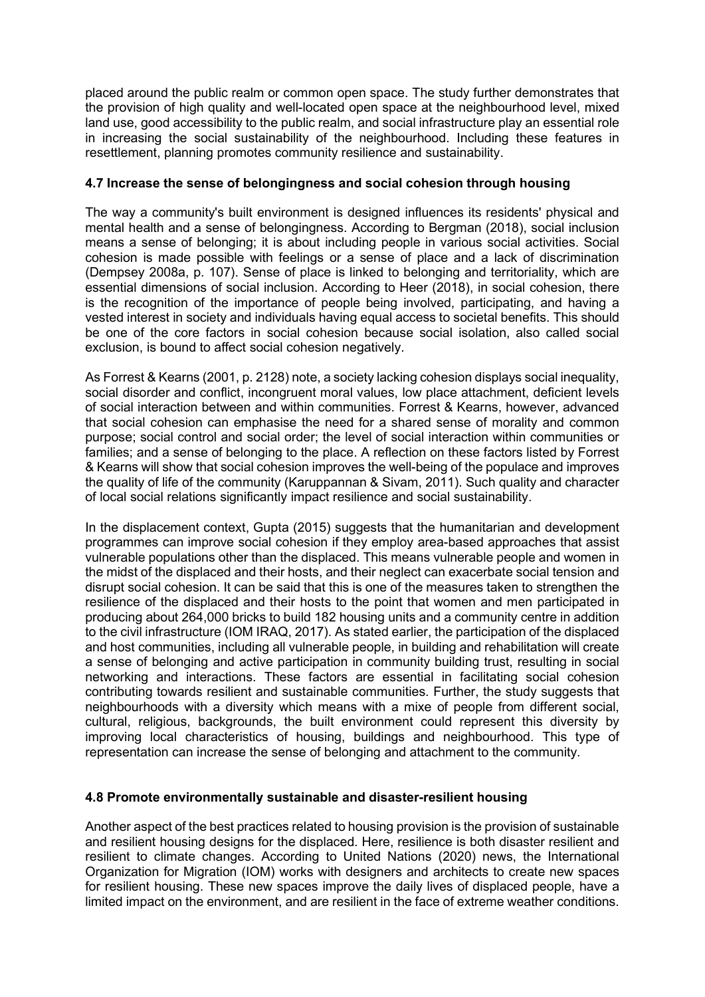placed around the public realm or common open space. The study further demonstrates that the provision of high quality and well-located open space at the neighbourhood level, mixed land use, good accessibility to the public realm, and social infrastructure play an essential role in increasing the social sustainability of the neighbourhood. Including these features in resettlement, planning promotes community resilience and sustainability.

## 4.7 Increase the sense of belongingness and social cohesion through housing

The way a community's built environment is designed influences its residents' physical and mental health and a sense of belongingness. According to Bergman (2018), social inclusion means a sense of belonging; it is about including people in various social activities. Social cohesion is made possible with feelings or a sense of place and a lack of discrimination (Dempsey 2008a, p. 107). Sense of place is linked to belonging and territoriality, which are essential dimensions of social inclusion. According to Heer (2018), in social cohesion, there is the recognition of the importance of people being involved, participating, and having a vested interest in society and individuals having equal access to societal benefits. This should be one of the core factors in social cohesion because social isolation, also called social exclusion, is bound to affect social cohesion negatively.

As Forrest & Kearns (2001, p. 2128) note, a society lacking cohesion displays social inequality, social disorder and conflict, incongruent moral values, low place attachment, deficient levels of social interaction between and within communities. Forrest & Kearns, however, advanced that social cohesion can emphasise the need for a shared sense of morality and common purpose; social control and social order; the level of social interaction within communities or families; and a sense of belonging to the place. A reflection on these factors listed by Forrest & Kearns will show that social cohesion improves the well-being of the populace and improves the quality of life of the community (Karuppannan & Sivam, 2011). Such quality and character of local social relations significantly impact resilience and social sustainability.

In the displacement context, Gupta (2015) suggests that the humanitarian and development programmes can improve social cohesion if they employ area-based approaches that assist vulnerable populations other than the displaced. This means vulnerable people and women in the midst of the displaced and their hosts, and their neglect can exacerbate social tension and disrupt social cohesion. It can be said that this is one of the measures taken to strengthen the resilience of the displaced and their hosts to the point that women and men participated in producing about 264,000 bricks to build 182 housing units and a community centre in addition to the civil infrastructure (IOM IRAQ, 2017). As stated earlier, the participation of the displaced and host communities, including all vulnerable people, in building and rehabilitation will create a sense of belonging and active participation in community building trust, resulting in social networking and interactions. These factors are essential in facilitating social cohesion contributing towards resilient and sustainable communities. Further, the study suggests that neighbourhoods with a diversity which means with a mixe of people from different social, cultural, religious, backgrounds, the built environment could represent this diversity by improving local characteristics of housing, buildings and neighbourhood. This type of representation can increase the sense of belonging and attachment to the community.

## 4.8 Promote environmentally sustainable and disaster-resilient housing

Another aspect of the best practices related to housing provision is the provision of sustainable and resilient housing designs for the displaced. Here, resilience is both disaster resilient and resilient to climate changes. According to United Nations (2020) news, the International Organization for Migration (IOM) works with designers and architects to create new spaces for resilient housing. These new spaces improve the daily lives of displaced people, have a limited impact on the environment, and are resilient in the face of extreme weather conditions.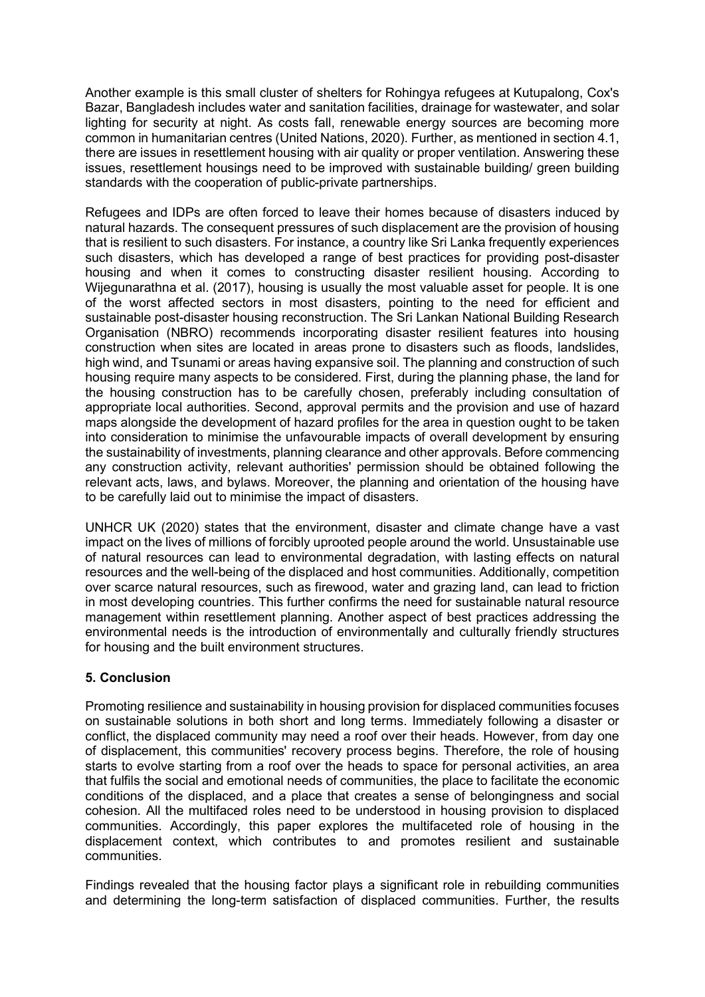Another example is this small cluster of shelters for Rohingya refugees at Kutupalong, Cox's Bazar, Bangladesh includes water and sanitation facilities, drainage for wastewater, and solar lighting for security at night. As costs fall, renewable energy sources are becoming more common in humanitarian centres (United Nations, 2020). Further, as mentioned in section 4.1, there are issues in resettlement housing with air quality or proper ventilation. Answering these issues, resettlement housings need to be improved with sustainable building/ green building standards with the cooperation of public-private partnerships.

Refugees and IDPs are often forced to leave their homes because of disasters induced by natural hazards. The consequent pressures of such displacement are the provision of housing that is resilient to such disasters. For instance, a country like Sri Lanka frequently experiences such disasters, which has developed a range of best practices for providing post-disaster housing and when it comes to constructing disaster resilient housing. According to Wijegunarathna et al. (2017), housing is usually the most valuable asset for people. It is one of the worst affected sectors in most disasters, pointing to the need for efficient and sustainable post-disaster housing reconstruction. The Sri Lankan National Building Research Organisation (NBRO) recommends incorporating disaster resilient features into housing construction when sites are located in areas prone to disasters such as floods, landslides, high wind, and Tsunami or areas having expansive soil. The planning and construction of such housing require many aspects to be considered. First, during the planning phase, the land for the housing construction has to be carefully chosen, preferably including consultation of appropriate local authorities. Second, approval permits and the provision and use of hazard maps alongside the development of hazard profiles for the area in question ought to be taken into consideration to minimise the unfavourable impacts of overall development by ensuring the sustainability of investments, planning clearance and other approvals. Before commencing any construction activity, relevant authorities' permission should be obtained following the relevant acts, laws, and bylaws. Moreover, the planning and orientation of the housing have to be carefully laid out to minimise the impact of disasters.

UNHCR UK (2020) states that the environment, disaster and climate change have a vast impact on the lives of millions of forcibly uprooted people around the world. Unsustainable use of natural resources can lead to environmental degradation, with lasting effects on natural resources and the well-being of the displaced and host communities. Additionally, competition over scarce natural resources, such as firewood, water and grazing land, can lead to friction in most developing countries. This further confirms the need for sustainable natural resource management within resettlement planning. Another aspect of best practices addressing the environmental needs is the introduction of environmentally and culturally friendly structures for housing and the built environment structures.

# 5. Conclusion

Promoting resilience and sustainability in housing provision for displaced communities focuses on sustainable solutions in both short and long terms. Immediately following a disaster or conflict, the displaced community may need a roof over their heads. However, from day one of displacement, this communities' recovery process begins. Therefore, the role of housing starts to evolve starting from a roof over the heads to space for personal activities, an area that fulfils the social and emotional needs of communities, the place to facilitate the economic conditions of the displaced, and a place that creates a sense of belongingness and social cohesion. All the multifaced roles need to be understood in housing provision to displaced communities. Accordingly, this paper explores the multifaceted role of housing in the displacement context, which contributes to and promotes resilient and sustainable communities.

Findings revealed that the housing factor plays a significant role in rebuilding communities and determining the long-term satisfaction of displaced communities. Further, the results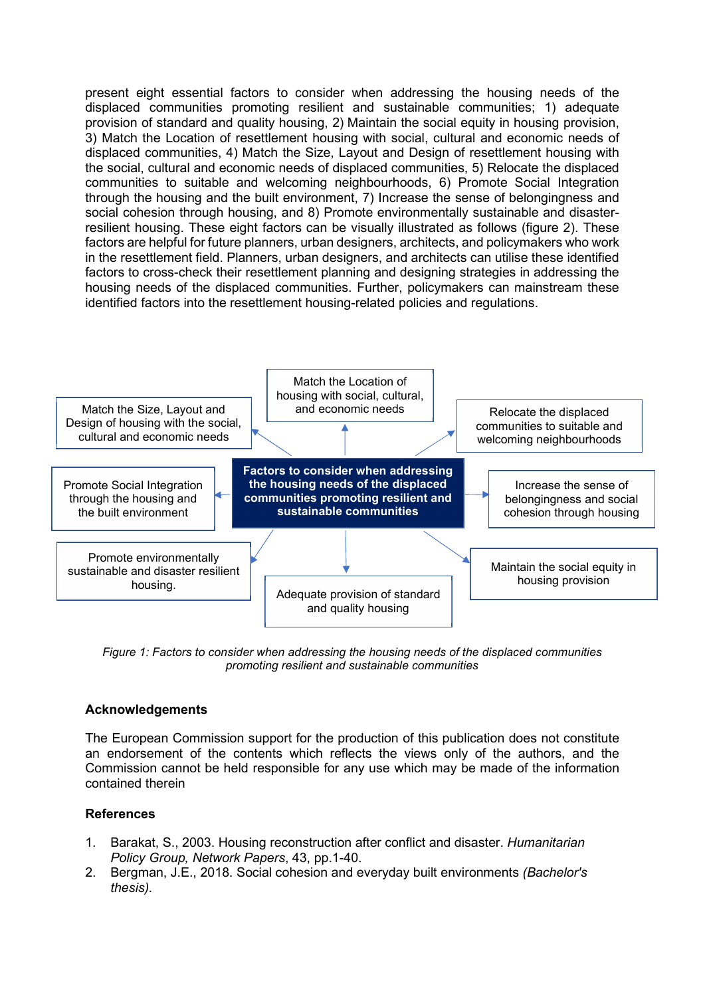present eight essential factors to consider when addressing the housing needs of the displaced communities promoting resilient and sustainable communities; 1) adequate provision of standard and quality housing, 2) Maintain the social equity in housing provision, 3) Match the Location of resettlement housing with social, cultural and economic needs of displaced communities, 4) Match the Size, Layout and Design of resettlement housing with the social, cultural and economic needs of displaced communities, 5) Relocate the displaced communities to suitable and welcoming neighbourhoods, 6) Promote Social Integration through the housing and the built environment, 7) Increase the sense of belongingness and social cohesion through housing, and 8) Promote environmentally sustainable and disasterresilient housing. These eight factors can be visually illustrated as follows (figure 2). These factors are helpful for future planners, urban designers, architects, and policymakers who work in the resettlement field. Planners, urban designers, and architects can utilise these identified factors to cross-check their resettlement planning and designing strategies in addressing the housing needs of the displaced communities. Further, policymakers can mainstream these identified factors into the resettlement housing-related policies and regulations.



Figure 1: Factors to consider when addressing the housing needs of the displaced communities promoting resilient and sustainable communities

# Acknowledgements

The European Commission support for the production of this publication does not constitute an endorsement of the contents which reflects the views only of the authors, and the Commission cannot be held responsible for any use which may be made of the information contained therein

## References

- 1. Barakat, S., 2003. Housing reconstruction after conflict and disaster. Humanitarian Policy Group, Network Papers, 43, pp.1-40.
- 2. Bergman, J.E., 2018. Social cohesion and everyday built environments (Bachelor's thesis).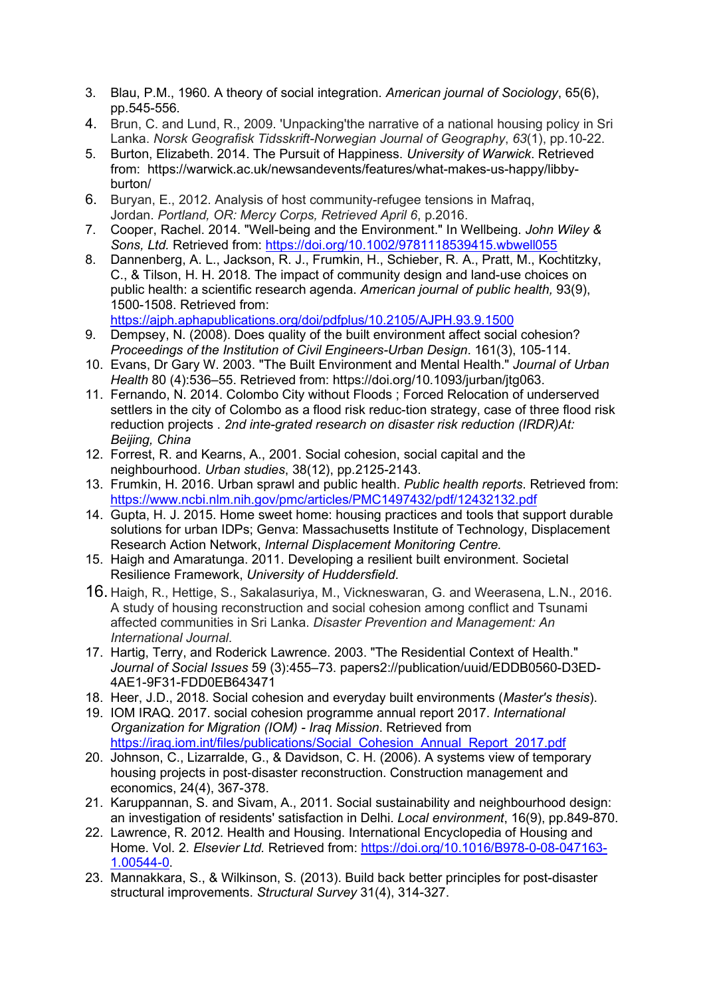- 3. Blau, P.M., 1960. A theory of social integration. American journal of Sociology, 65(6), pp.545-556.
- 4. Brun, C. and Lund, R., 2009. 'Unpacking'the narrative of a national housing policy in Sri Lanka. Norsk Geografisk Tidsskrift-Norwegian Journal of Geography, 63(1), pp.10-22.
- 5. Burton, Elizabeth. 2014. The Pursuit of Happiness. University of Warwick. Retrieved from: https://warwick.ac.uk/newsandevents/features/what-makes-us-happy/libbyburton/
- 6. Buryan, E., 2012. Analysis of host community-refugee tensions in Mafraq, Jordan. Portland, OR: Mercy Corps, Retrieved April 6, p.2016.
- 7. Cooper, Rachel. 2014. "Well-being and the Environment." In Wellbeing. John Wiley & Sons, Ltd. Retrieved from: https://doi.org/10.1002/9781118539415.wbwell055
- 8. Dannenberg, A. L., Jackson, R. J., Frumkin, H., Schieber, R. A., Pratt, M., Kochtitzky, C., & Tilson, H. H. 2018. The impact of community design and land-use choices on public health: a scientific research agenda. American journal of public health, 93(9), 1500-1508. Retrieved from:

https://ajph.aphapublications.org/doi/pdfplus/10.2105/AJPH.93.9.1500

- 9. Dempsey, N. (2008). Does quality of the built environment affect social cohesion? Proceedings of the Institution of Civil Engineers-Urban Design. 161(3), 105-114.
- 10. Evans, Dr Gary W. 2003. "The Built Environment and Mental Health." Journal of Urban Health 80 (4):536–55. Retrieved from: https://doi.org/10.1093/jurban/jtg063.
- 11. Fernando, N. 2014. Colombo City without Floods ; Forced Relocation of underserved settlers in the city of Colombo as a flood risk reduc-tion strategy, case of three flood risk reduction projects . 2nd inte-grated research on disaster risk reduction (IRDR)At: Beijing, China
- 12. Forrest, R. and Kearns, A., 2001. Social cohesion, social capital and the neighbourhood. Urban studies, 38(12), pp.2125-2143.
- 13. Frumkin, H. 2016. Urban sprawl and public health. Public health reports. Retrieved from: https://www.ncbi.nlm.nih.gov/pmc/articles/PMC1497432/pdf/12432132.pdf
- 14. Gupta, H. J. 2015. Home sweet home: housing practices and tools that support durable solutions for urban IDPs; Genva: Massachusetts Institute of Technology, Displacement Research Action Network, Internal Displacement Monitoring Centre.
- 15. Haigh and Amaratunga. 2011. Developing a resilient built environment. Societal Resilience Framework, University of Huddersfield.
- 16. Haigh, R., Hettige, S., Sakalasuriya, M., Vickneswaran, G. and Weerasena, L.N., 2016. A study of housing reconstruction and social cohesion among conflict and Tsunami affected communities in Sri Lanka. Disaster Prevention and Management: An International Journal.
- 17. Hartig, Terry, and Roderick Lawrence. 2003. "The Residential Context of Health." Journal of Social Issues 59 (3):455–73. papers2://publication/uuid/EDDB0560-D3ED-4AE1-9F31-FDD0EB643471
- 18. Heer. J.D., 2018. Social cohesion and everyday built environments (Master's thesis).
- 19. IOM IRAQ. 2017. social cohesion programme annual report 2017. International Organization for Migration (IOM) - Iraq Mission. Retrieved from https://iraq.iom.int/files/publications/Social\_Cohesion\_Annual\_Report\_2017.pdf
- 20. Johnson, C., Lizarralde, G., & Davidson, C. H. (2006). A systems view of temporary housing projects in post‐disaster reconstruction. Construction management and economics, 24(4), 367-378.
- 21. Karuppannan, S. and Sivam, A., 2011. Social sustainability and neighbourhood design: an investigation of residents' satisfaction in Delhi. Local environment, 16(9), pp.849-870.
- 22. Lawrence, R. 2012. Health and Housing. International Encyclopedia of Housing and Home. Vol. 2. Elsevier Ltd. Retrieved from: https://doi.org/10.1016/B978-0-08-047163- 1.00544-0.
- 23. Mannakkara, S., & Wilkinson, S. (2013). Build back better principles for post-disaster structural improvements. Structural Survey 31(4), 314-327.